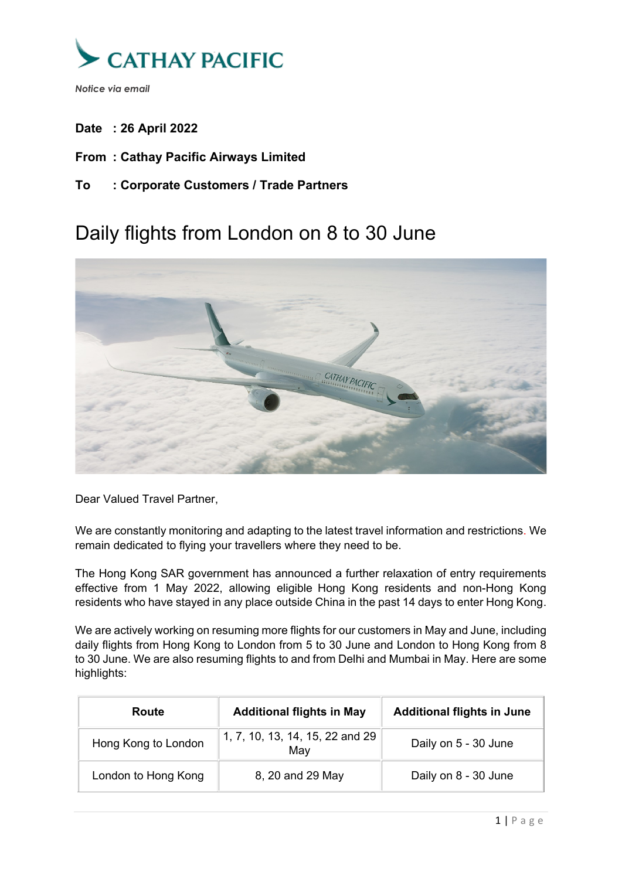

- **Date : 26 April 2022**
- **From : Cathay Pacific Airways Limited**
- **To : Corporate Customers / Trade Partners**

# Daily flights from London on 8 to 30 June



Dear Valued Travel Partner,

We are constantly monitoring and adapting to the latest travel information and restrictions. We remain dedicated to flying your travellers where they need to be.

The Hong Kong SAR government has announced a further relaxation of entry requirements effective from 1 May 2022, allowing eligible Hong Kong residents and non-Hong Kong residents who have stayed in any place outside China in the past 14 days to enter Hong Kong.

We are actively working on resuming more flights for our customers in May and June, including daily flights from Hong Kong to London from 5 to 30 June and London to Hong Kong from 8 to 30 June. We are also resuming flights to and from Delhi and Mumbai in May. Here are some highlights:

| Route               | <b>Additional flights in May</b>       | <b>Additional flights in June</b> |
|---------------------|----------------------------------------|-----------------------------------|
| Hong Kong to London | 1, 7, 10, 13, 14, 15, 22 and 29<br>May | Daily on 5 - 30 June              |
| London to Hong Kong | 8, 20 and 29 May                       | Daily on 8 - 30 June              |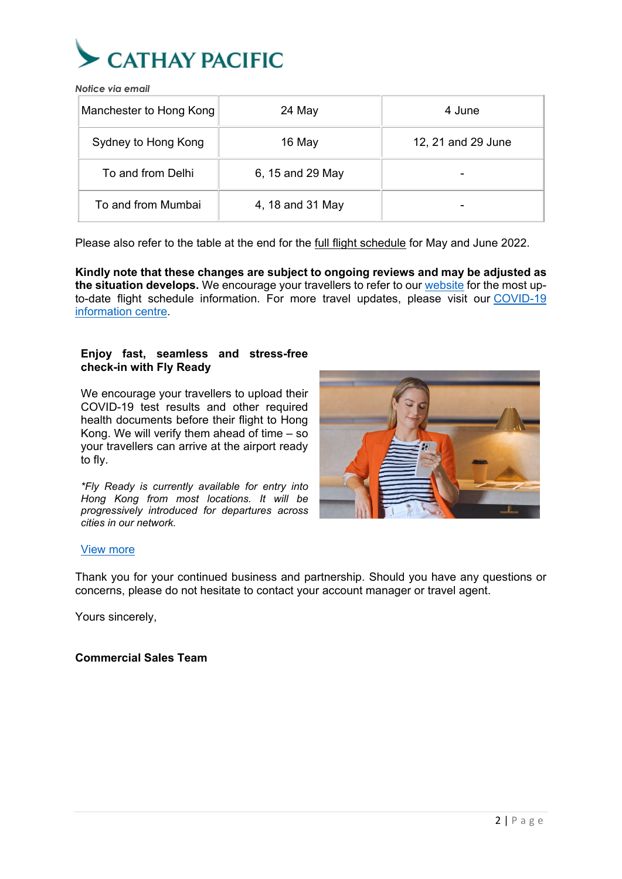

| Manchester to Hong Kong | 24 May           | 4 June             |
|-------------------------|------------------|--------------------|
| Sydney to Hong Kong     | 16 May           | 12, 21 and 29 June |
| To and from Delhi       | 6, 15 and 29 May |                    |
| To and from Mumbai      | 4, 18 and 31 May |                    |

Please also refer to the table at the end for the **full flight schedule** for May and June 2022.

**Kindly note that these changes are subject to ongoing reviews and may be adjusted as the situation develops.** We encourage your travellers to refer to our [website](https://www.cathaypacific.com/cx/en_HK/flying-with-us/cathaycare/where-we-fly-now.html) for the most upto-date flight schedule information. For more travel updates, please visit our [COVID-19](https://www.cathaypacific.com/cx/en_HK/covid-19/information-and-updates.html)  [information centre.](https://www.cathaypacific.com/cx/en_HK/covid-19/information-and-updates.html)

#### **Enjoy fast, seamless and stress-free check-in with Fly Ready**

We encourage your travellers to upload their COVID-19 test results and other required health documents before their flight to Hong Kong. We will verify them ahead of time – so your travellers can arrive at the airport ready to fly.

*\*Fly Ready is currently available for entry into Hong Kong from most locations. It will be progressively introduced for departures across cities in our network.*



#### [View more](https://www.cathaypacific.com/cx/en_HK/covid-19/fly-ready.html)

Thank you for your continued business and partnership. Should you have any questions or concerns, please do not hesitate to contact your account manager or travel agent.

Yours sincerely,

## **Commercial Sales Team**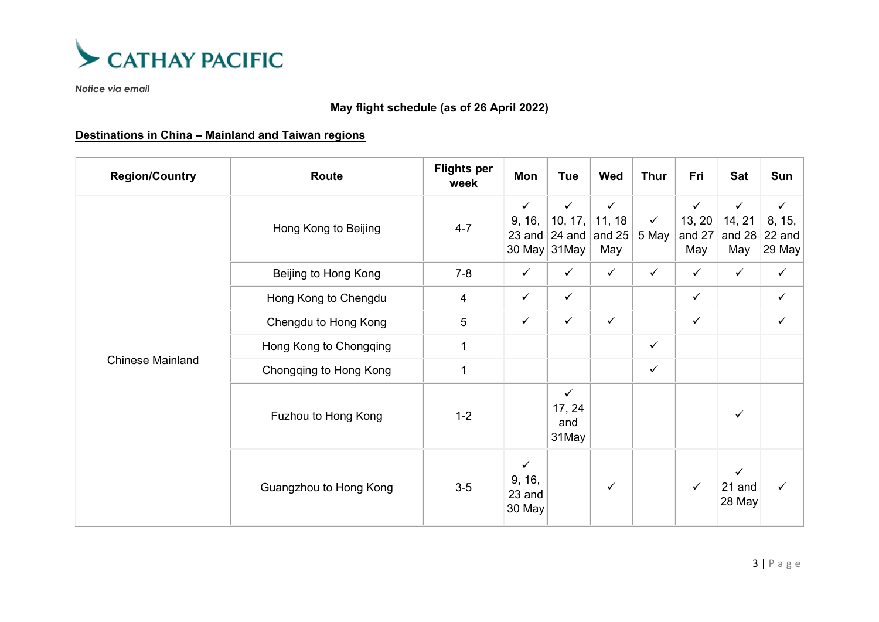

## **May flight schedule (as of 26 April 2022)**

## **Destinations in China – Mainland and Taiwan regions**

| <b>Region/Country</b>   | Route                  | <b>Flights per</b><br>week | Mon                                        | <b>Tue</b>                             | Wed                                                | <b>Thur</b>           | Fri                                     | Sat                                     | Sun                                           |
|-------------------------|------------------------|----------------------------|--------------------------------------------|----------------------------------------|----------------------------------------------------|-----------------------|-----------------------------------------|-----------------------------------------|-----------------------------------------------|
|                         | Hong Kong to Beijing   | $4 - 7$                    | $\checkmark$<br>9, 16,<br>23 and<br>30 May | $\checkmark$<br>10, 17,<br>31May       | $\checkmark$<br>11, 18<br>24 and $ $ and 25<br>May | $\checkmark$<br>5 May | $\checkmark$<br>13, 20<br>and 27<br>May | $\checkmark$<br>14, 21<br>and 28<br>May | $\checkmark$<br>8, 15,<br>22 and<br>$ 29$ May |
|                         | Beijing to Hong Kong   | $7 - 8$                    | $\checkmark$                               | $\checkmark$                           | $\checkmark$                                       | $\checkmark$          | $\checkmark$                            | $\checkmark$                            | $\checkmark$                                  |
|                         | Hong Kong to Chengdu   | 4                          | $\checkmark$                               | $\checkmark$                           |                                                    |                       | $\checkmark$                            |                                         | ✓                                             |
|                         | Chengdu to Hong Kong   | 5                          | $\checkmark$                               | $\checkmark$                           | $\checkmark$                                       |                       | $\checkmark$                            |                                         | $\checkmark$                                  |
|                         | Hong Kong to Chongqing | $\mathbf{1}$               |                                            |                                        |                                                    | $\checkmark$          |                                         |                                         |                                               |
| <b>Chinese Mainland</b> | Chongqing to Hong Kong | $\mathbf{1}$               |                                            |                                        |                                                    | $\checkmark$          |                                         |                                         |                                               |
|                         | Fuzhou to Hong Kong    | $1 - 2$                    |                                            | $\checkmark$<br>17, 24<br>and<br>31May |                                                    |                       |                                         | $\checkmark$                            |                                               |
|                         | Guangzhou to Hong Kong | $3-5$                      | $\checkmark$<br>9, 16,<br>23 and<br>30 May |                                        | $\checkmark$                                       |                       | $\checkmark$                            | $\checkmark$<br>21 and<br>28 May        | $\checkmark$                                  |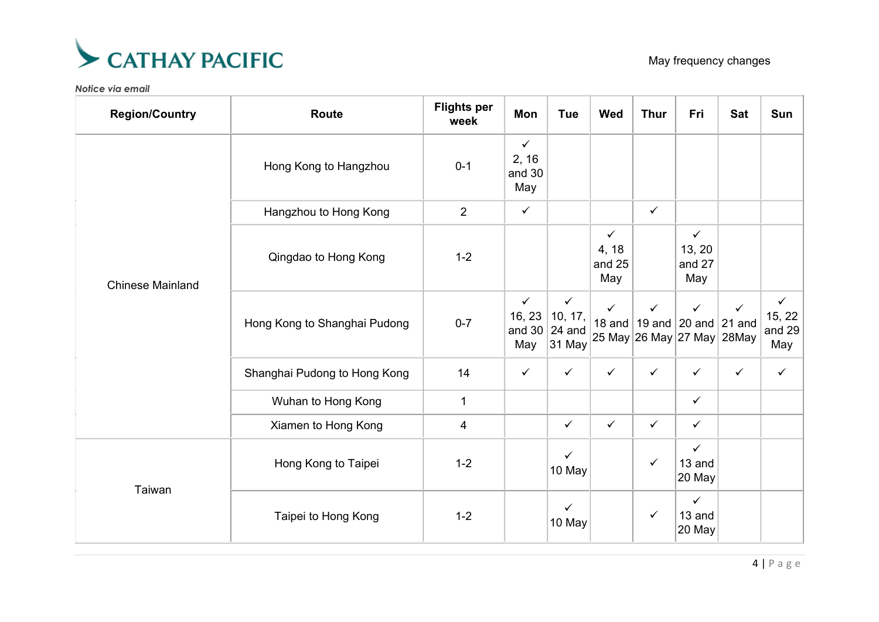

| <b>Region/Country</b>   | <b>Route</b>                 | <b>Flights per</b><br>week | Mon                                     | <b>Tue</b>                                  | <b>Wed</b>                             | <b>Thur</b>  | Fri                                                                    | <b>Sat</b>                      | Sun                                     |
|-------------------------|------------------------------|----------------------------|-----------------------------------------|---------------------------------------------|----------------------------------------|--------------|------------------------------------------------------------------------|---------------------------------|-----------------------------------------|
|                         | Hong Kong to Hangzhou        | $0 - 1$                    | $\checkmark$<br>2, 16<br>and 30<br>May  |                                             |                                        |              |                                                                        |                                 |                                         |
| <b>Chinese Mainland</b> | Hangzhou to Hong Kong        | $\overline{2}$             | $\checkmark$                            |                                             |                                        | $\checkmark$ |                                                                        |                                 |                                         |
|                         | Qingdao to Hong Kong         | $1-2$                      |                                         |                                             | $\checkmark$<br>4, 18<br>and 25<br>May |              | $\checkmark$<br>13, 20<br>and 27<br>May                                |                                 |                                         |
|                         | Hong Kong to Shanghai Pudong | $0 - 7$                    | $\checkmark$<br>16, 23<br>and 30<br>May | $\checkmark$<br>10, 17,<br>24 and<br>31 May | $\checkmark$                           | $\checkmark$ | $\checkmark$<br>18 and   19 and $ $ 20 and $ $<br>25 May 26 May 27 May | $\checkmark$<br>21 and<br>28May | $\checkmark$<br>15, 22<br>and 29<br>May |
|                         | Shanghai Pudong to Hong Kong | 14                         | $\checkmark$                            | $\checkmark$                                | $\checkmark$                           | $\checkmark$ | $\checkmark$                                                           | $\checkmark$                    | $\checkmark$                            |
|                         | Wuhan to Hong Kong           | $\mathbf{1}$               |                                         |                                             |                                        |              | $\checkmark$                                                           |                                 |                                         |
|                         | Xiamen to Hong Kong          | 4                          |                                         | $\checkmark$                                | $\checkmark$                           | $\checkmark$ | $\checkmark$                                                           |                                 |                                         |
|                         | Hong Kong to Taipei          | $1-2$                      |                                         | $\checkmark$<br>10 May                      |                                        | $\checkmark$ | $\checkmark$<br>13 and<br>20 May                                       |                                 |                                         |
| Taiwan                  | Taipei to Hong Kong          | $1 - 2$                    |                                         | $\checkmark$<br>10 May                      |                                        | $\checkmark$ | $\checkmark$<br>13 and<br>20 May                                       |                                 |                                         |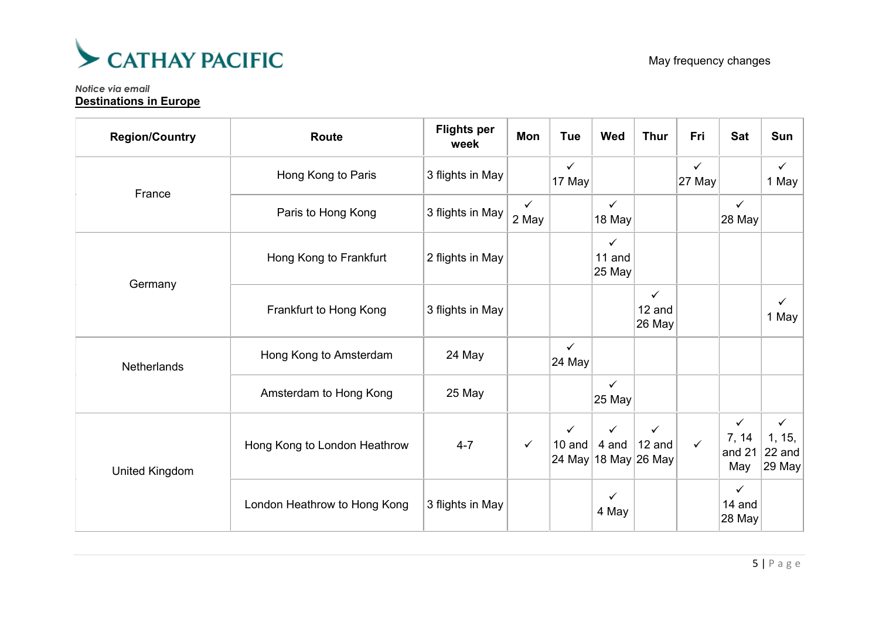

#### *Notice via email* **Destinations in Europe**

| <b>Region/Country</b> | <b>Route</b>                 | <b>Flights per</b><br>week | Mon                   | <b>Tue</b>             | <b>Wed</b>             | <b>Thur</b>                                                  | Fri                    | <b>Sat</b>                             | Sun                                        |
|-----------------------|------------------------------|----------------------------|-----------------------|------------------------|------------------------|--------------------------------------------------------------|------------------------|----------------------------------------|--------------------------------------------|
| France                | Hong Kong to Paris           | 3 flights in May           |                       | $\checkmark$<br>17 May |                        |                                                              | $\checkmark$<br>27 May |                                        | $\checkmark$<br>1 May                      |
|                       | Paris to Hong Kong           | 3 flights in May           | $\checkmark$<br>2 May |                        | $\checkmark$<br>18 May |                                                              |                        | $\checkmark$<br>28 May                 |                                            |
| Germany               | Hong Kong to Frankfurt       | 2 flights in May           |                       |                        | ✓<br>11 and<br>25 May  |                                                              |                        |                                        |                                            |
|                       | Frankfurt to Hong Kong       | 3 flights in May           |                       |                        |                        | $\checkmark$<br>12 and<br>26 May                             |                        |                                        | $\checkmark$<br>1 May                      |
| Netherlands           | Hong Kong to Amsterdam       | 24 May                     |                       | $\checkmark$<br>24 May |                        |                                                              |                        |                                        |                                            |
|                       | Amsterdam to Hong Kong       | 25 May                     |                       |                        | $\checkmark$<br>25 May |                                                              |                        |                                        |                                            |
| United Kingdom        | Hong Kong to London Heathrow | $4 - 7$                    | $\checkmark$          | $\checkmark$<br>10 and | $\checkmark$           | $\checkmark$<br>4 and $\vert$ 12 and<br>24 May 18 May 26 May | $\checkmark$           | $\checkmark$<br>7, 14<br>and 21<br>May | $\checkmark$<br>1, 15,<br>22 and<br>29 May |
|                       | London Heathrow to Hong Kong | 3 flights in May           |                       |                        | ✓<br>4 May             |                                                              |                        | $\checkmark$<br>14 and<br>28 May       |                                            |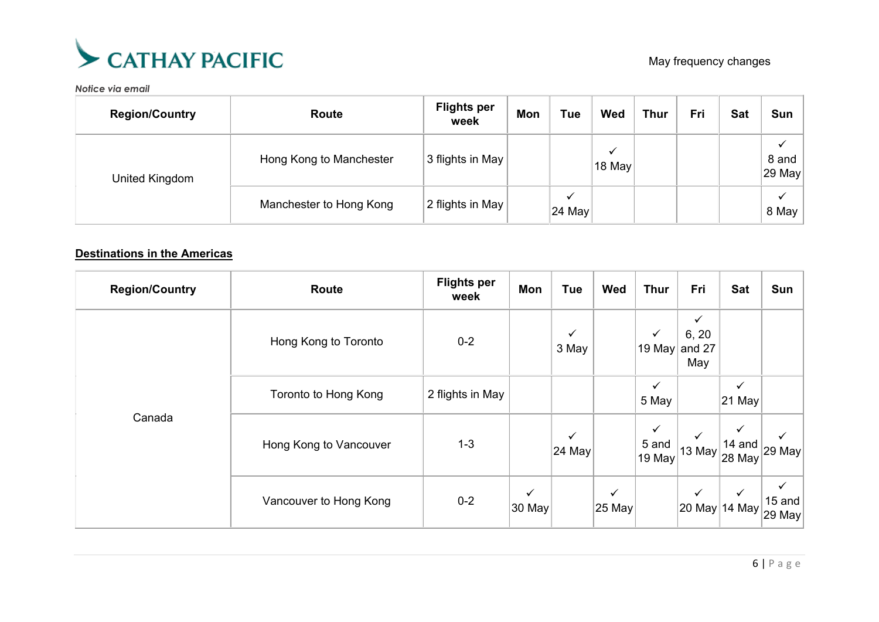

| <b>Region/Country</b> | Route                   | <b>Flights per</b><br>week | Mon | <b>Tue</b>              | Wed    | <b>Thur</b> | Fri | <b>Sat</b> | Sun             |
|-----------------------|-------------------------|----------------------------|-----|-------------------------|--------|-------------|-----|------------|-----------------|
| United Kingdom        | Hong Kong to Manchester | 3 flights in May           |     |                         | 18 May |             |     |            | 8 and<br>29 May |
|                       | Manchester to Hong Kong | 2 flights in May           |     | ✓<br>$ 24 \text{ May} $ |        |             |     |            | 8 May           |

## **Destinations in the Americas**

| <b>Region/Country</b> | Route                       | <b>Flights per</b><br>week | Mon                    | <b>Tue</b>             | Wed                    | <b>Thur</b>                     | Fri                                    | Sat                                          | Sun                                                                             |
|-----------------------|-----------------------------|----------------------------|------------------------|------------------------|------------------------|---------------------------------|----------------------------------------|----------------------------------------------|---------------------------------------------------------------------------------|
| Canada                | Hong Kong to Toronto        | $0 - 2$                    |                        | ✓<br>3 May             |                        | $\checkmark$<br>19 May          | $\checkmark$<br>6, 20<br>and 27<br>May |                                              |                                                                                 |
|                       | <b>Toronto to Hong Kong</b> | 2 flights in May           |                        |                        |                        | $\checkmark$<br>5 May           |                                        | $\checkmark$<br>21 May                       |                                                                                 |
|                       | Hong Kong to Vancouver      | $1 - 3$                    |                        | $\checkmark$<br>24 May |                        | $\checkmark$<br>5 and<br>19 May | $\checkmark$<br>13 May                 | $\checkmark$<br>14 and<br>$ 28 \text{ May} $ | $\vert$ 29 May $\vert$                                                          |
|                       | Vancouver to Hong Kong      | $0 - 2$                    | $\checkmark$<br>30 May |                        | $\checkmark$<br>25 May |                                 | $\checkmark$                           | $\checkmark$                                 | ✓<br>15 and<br>$\left 20\text{ May}\right $ 14 May $\left 29\text{ May}\right $ |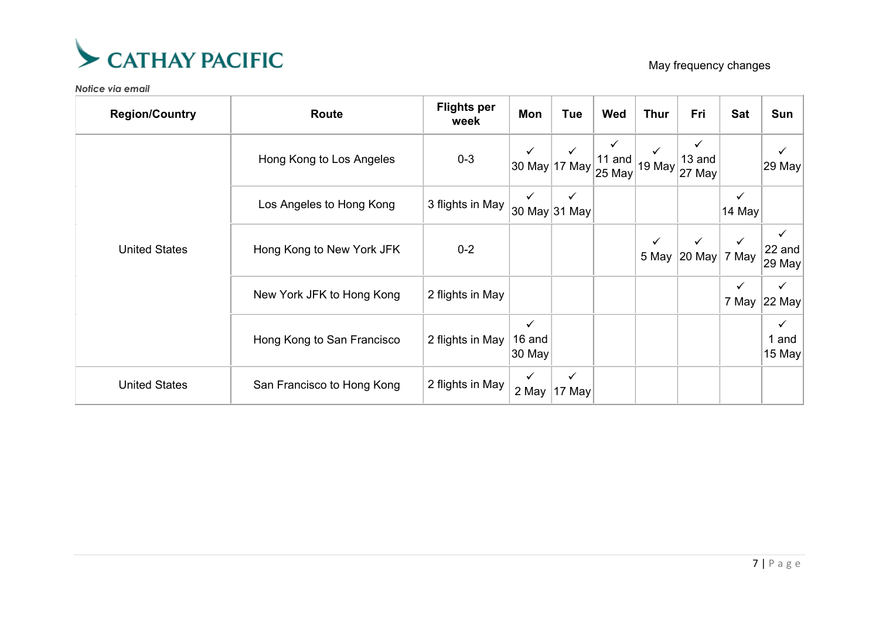

May frequency changes

| <b>Region/Country</b> | Route                      | <b>Flights per</b><br>week | Mon                              | Tue                           | Wed                   | <b>Thur</b>  | Fri                          | <b>Sat</b>            | Sun                             |
|-----------------------|----------------------------|----------------------------|----------------------------------|-------------------------------|-----------------------|--------------|------------------------------|-----------------------|---------------------------------|
|                       | Hong Kong to Los Angeles   | $0 - 3$                    |                                  | $\checkmark$<br>30 May 17 May | ✓<br>11 and<br>25 May | 19 May       | ✓<br>13 and<br>27 May        |                       | 29 May                          |
|                       | Los Angeles to Hong Kong   | 3 flights in May           | $\checkmark$                     | ✓<br>∣30 May 31 May           |                       |              |                              | ✓<br>14 May           |                                 |
| <b>United States</b>  | Hong Kong to New York JFK  | $0 - 2$                    |                                  |                               |                       | $\checkmark$ | $\checkmark$<br>5 May 20 May | $\checkmark$<br>7 May | 22 and<br>29 May                |
|                       | New York JFK to Hong Kong  | 2 flights in May           |                                  |                               |                       |              |                              | $\checkmark$<br>7 May | $\checkmark$<br>22 May          |
|                       | Hong Kong to San Francisco | 2 flights in May           | $\checkmark$<br>16 and<br>30 May |                               |                       |              |                              |                       | $\checkmark$<br>1 and<br>15 May |
| <b>United States</b>  | San Francisco to Hong Kong | 2 flights in May           | $\checkmark$<br>2 May            | ✓<br>17 May                   |                       |              |                              |                       |                                 |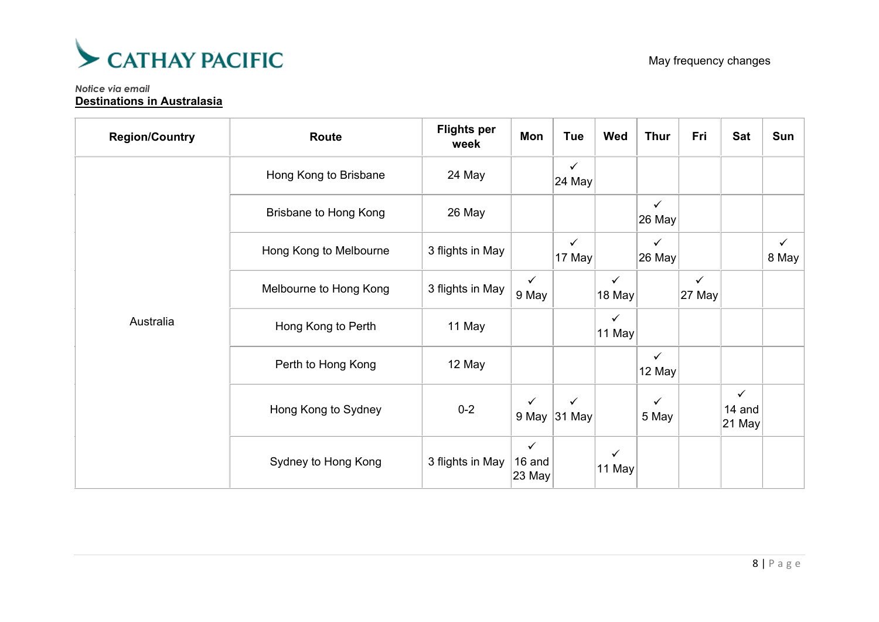

#### *Notice via email* **Destinations in Australasia**

| <b>Region/Country</b> | Route                        | <b>Flights per</b><br>week | Mon                              | <b>Tue</b>                   | Wed                    | <b>Thur</b>              | Fri                    | <b>Sat</b>                          | Sun                   |
|-----------------------|------------------------------|----------------------------|----------------------------------|------------------------------|------------------------|--------------------------|------------------------|-------------------------------------|-----------------------|
|                       | Hong Kong to Brisbane        | 24 May                     |                                  | $\checkmark$<br>24 May       |                        |                          |                        |                                     |                       |
|                       | <b>Brisbane to Hong Kong</b> | 26 May                     |                                  |                              |                        | $\checkmark$<br>26 May   |                        |                                     |                       |
|                       | Hong Kong to Melbourne       | 3 flights in May           |                                  | $\checkmark$<br>17 May       |                        | $\checkmark$<br>26 May   |                        |                                     | $\checkmark$<br>8 May |
|                       | Melbourne to Hong Kong       | 3 flights in May           | $\checkmark$<br>9 May            |                              | $\checkmark$<br>18 May |                          | $\checkmark$<br>27 May |                                     |                       |
| Australia             | Hong Kong to Perth           | 11 May                     |                                  |                              | ✓<br>11 May            |                          |                        |                                     |                       |
|                       | Perth to Hong Kong           | 12 May                     |                                  |                              |                        | $\checkmark$<br>$12$ May |                        |                                     |                       |
|                       | Hong Kong to Sydney          | $0 - 2$                    | $\checkmark$                     | $\checkmark$<br>9 May 31 May |                        | $\checkmark$<br>5 May    |                        | $\checkmark$<br>14 and<br>$ 21$ May |                       |
|                       | Sydney to Hong Kong          | 3 flights in May           | $\checkmark$<br>16 and<br>23 May |                              | ✓<br>11 May            |                          |                        |                                     |                       |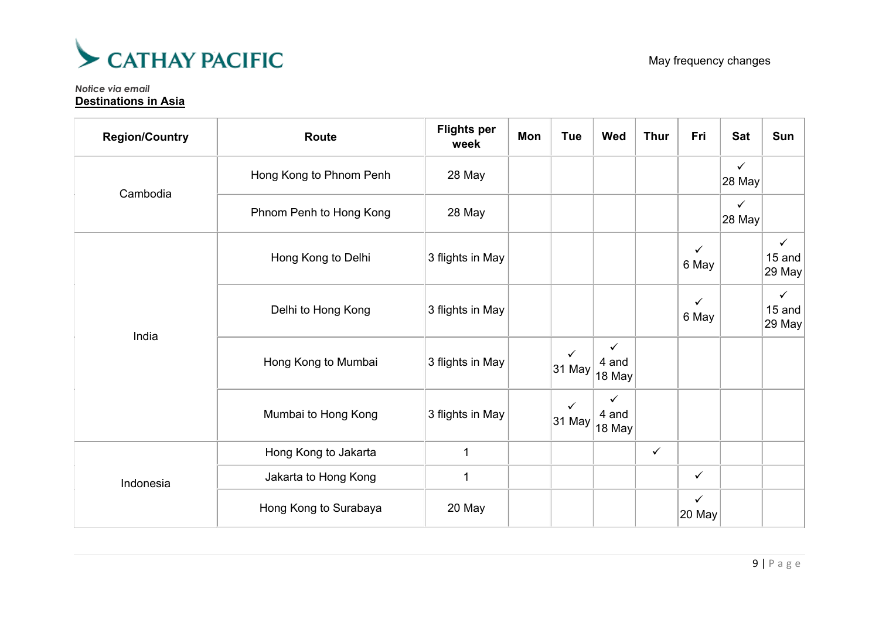

*Notice via email* **Destinations in Asia**

| <b>Region/Country</b> | <b>Route</b>            | <b>Flights per</b><br>week | Mon | <b>Tue</b>             | Wed                  | <b>Thur</b>  | Fri                    | <b>Sat</b>                         | Sun                              |
|-----------------------|-------------------------|----------------------------|-----|------------------------|----------------------|--------------|------------------------|------------------------------------|----------------------------------|
| Cambodia              | Hong Kong to Phnom Penh | 28 May                     |     |                        |                      |              |                        | $\checkmark$<br>$ 28 \text{ May} $ |                                  |
|                       | Phnom Penh to Hong Kong | 28 May                     |     |                        |                      |              |                        | $\checkmark$<br>28 May             |                                  |
|                       | Hong Kong to Delhi      | 3 flights in May           |     |                        |                      |              | $\checkmark$<br>6 May  |                                    | $\checkmark$<br>15 and<br>29 May |
|                       | Delhi to Hong Kong      | 3 flights in May           |     |                        |                      |              | $\checkmark$<br>6 May  |                                    | $\checkmark$<br>15 and<br>29 May |
| India                 | Hong Kong to Mumbai     | 3 flights in May           |     | $\checkmark$<br>31 May | ✓<br>4 and<br>18 May |              |                        |                                    |                                  |
|                       | Mumbai to Hong Kong     | 3 flights in May           |     | ✓<br>31 May            | ✓<br>4 and<br>18 May |              |                        |                                    |                                  |
|                       | Hong Kong to Jakarta    | 1                          |     |                        |                      | $\checkmark$ |                        |                                    |                                  |
| Indonesia             | Jakarta to Hong Kong    | 1                          |     |                        |                      |              | $\checkmark$           |                                    |                                  |
|                       | Hong Kong to Surabaya   | 20 May                     |     |                        |                      |              | $\checkmark$<br>20 May |                                    |                                  |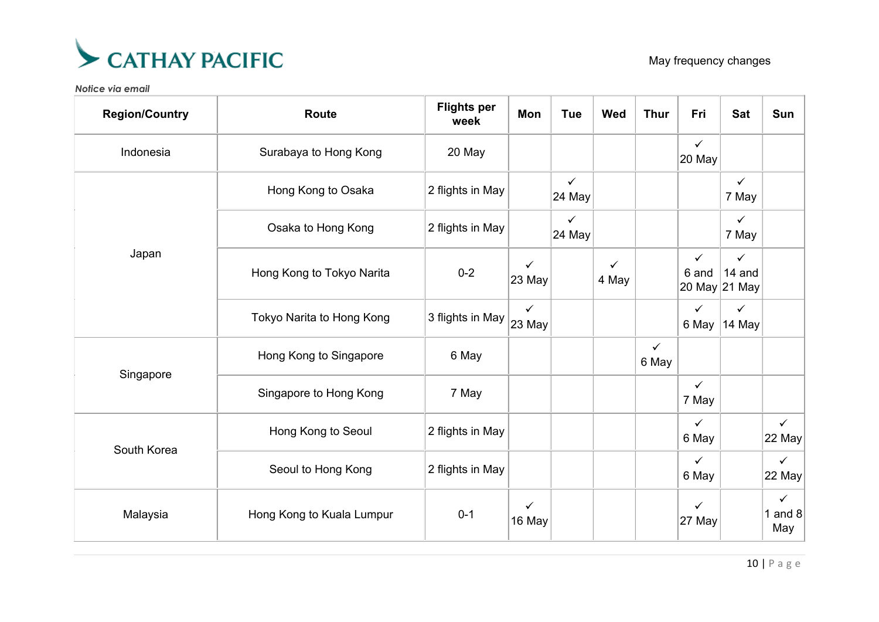

| <b>Region/Country</b> | <b>Route</b>              | <b>Flights per</b><br>week | <b>Mon</b>             | <b>Tue</b>             | <b>Wed</b>            | <b>Thur</b>           | Fri                    | <b>Sat</b>                              | Sun                              |
|-----------------------|---------------------------|----------------------------|------------------------|------------------------|-----------------------|-----------------------|------------------------|-----------------------------------------|----------------------------------|
| Indonesia             | Surabaya to Hong Kong     | 20 May                     |                        |                        |                       |                       | $\checkmark$<br>20 May |                                         |                                  |
|                       | Hong Kong to Osaka        | 2 flights in May           |                        | $\checkmark$<br>24 May |                       |                       |                        | $\checkmark$<br>7 May                   |                                  |
|                       | Osaka to Hong Kong        | 2 flights in May           |                        | $\checkmark$<br>24 May |                       |                       |                        | $\checkmark$<br>7 May                   |                                  |
| Japan                 | Hong Kong to Tokyo Narita | $0 - 2$                    | $\checkmark$<br>23 May |                        | $\checkmark$<br>4 May |                       | $\checkmark$<br>6 and  | $\checkmark$<br>14 and<br>20 May 21 May |                                  |
|                       | Tokyo Narita to Hong Kong | 3 flights in May           | $\checkmark$<br>23 May |                        |                       |                       | $\checkmark$<br>6 May  | $\checkmark$<br>14 May                  |                                  |
| Singapore             | Hong Kong to Singapore    | 6 May                      |                        |                        |                       | $\checkmark$<br>6 May |                        |                                         |                                  |
|                       | Singapore to Hong Kong    | 7 May                      |                        |                        |                       |                       | $\checkmark$<br>7 May  |                                         |                                  |
|                       | Hong Kong to Seoul        | 2 flights in May           |                        |                        |                       |                       | $\checkmark$<br>6 May  |                                         | $\checkmark$<br>$22$ May         |
| South Korea           | Seoul to Hong Kong        | 2 flights in May           |                        |                        |                       |                       | $\checkmark$<br>6 May  |                                         | $\checkmark$<br>22 May           |
| Malaysia              | Hong Kong to Kuala Lumpur | $0 - 1$                    | $\checkmark$<br>16 May |                        |                       |                       | $\checkmark$<br>27 May |                                         | $\checkmark$<br>1 and $8$<br>May |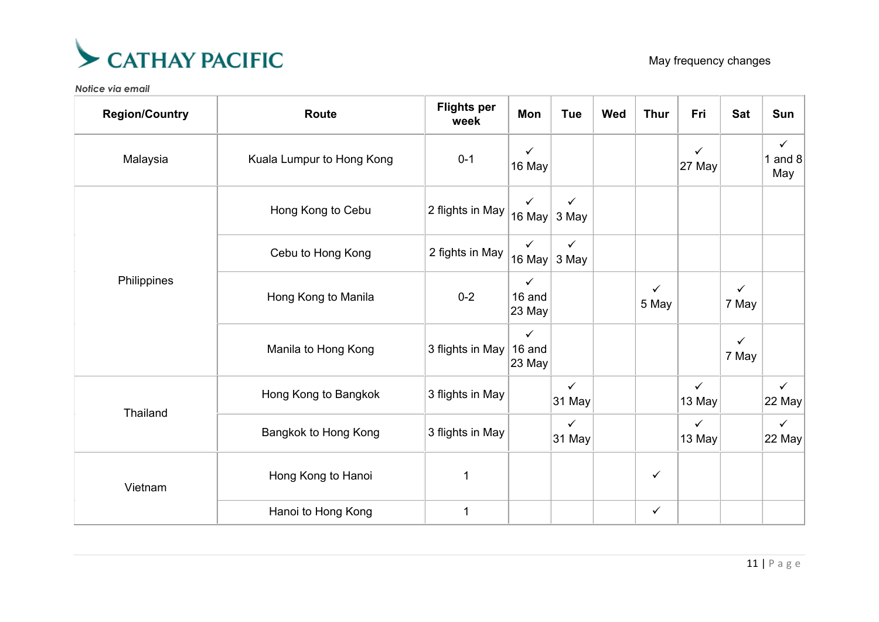

| <b>Region/Country</b> | <b>Route</b>              | <b>Flights per</b><br>week | Mon                              | <b>Tue</b>             | <b>Wed</b> | <b>Thur</b>           | Fri                    | <b>Sat</b>            | Sun                              |
|-----------------------|---------------------------|----------------------------|----------------------------------|------------------------|------------|-----------------------|------------------------|-----------------------|----------------------------------|
| Malaysia              | Kuala Lumpur to Hong Kong | $0 - 1$                    | $\checkmark$<br>16 May           |                        |            |                       | $\checkmark$<br>27 May |                       | $\checkmark$<br>1 and $8$<br>May |
| Philippines           | Hong Kong to Cebu         | 2 flights in May           | $\checkmark$<br>16 May $ $       | ✓<br>3 May             |            |                       |                        |                       |                                  |
|                       | Cebu to Hong Kong         | 2 fights in May            | $\checkmark$<br>16 May           | $\checkmark$<br>3 May  |            |                       |                        |                       |                                  |
|                       | Hong Kong to Manila       | $0 - 2$                    | $\checkmark$<br>16 and<br>23 May |                        |            | $\checkmark$<br>5 May |                        | $\checkmark$<br>7 May |                                  |
|                       | Manila to Hong Kong       | 3 flights in May           | $\checkmark$<br>16 and<br>23 May |                        |            |                       |                        | $\checkmark$<br>7 May |                                  |
|                       | Hong Kong to Bangkok      | 3 flights in May           |                                  | $\checkmark$<br>31 May |            |                       | $\checkmark$<br>13 May |                       | $\checkmark$<br>22 May           |
| Thailand              | Bangkok to Hong Kong      | 3 flights in May           |                                  | $\checkmark$<br>31 May |            |                       | $\checkmark$<br>13 May |                       | $\checkmark$<br>$22$ May         |
| Vietnam               | Hong Kong to Hanoi        | $\mathbf 1$                |                                  |                        |            | $\checkmark$          |                        |                       |                                  |
|                       | Hanoi to Hong Kong        | $\mathbf{1}$               |                                  |                        |            | $\checkmark$          |                        |                       |                                  |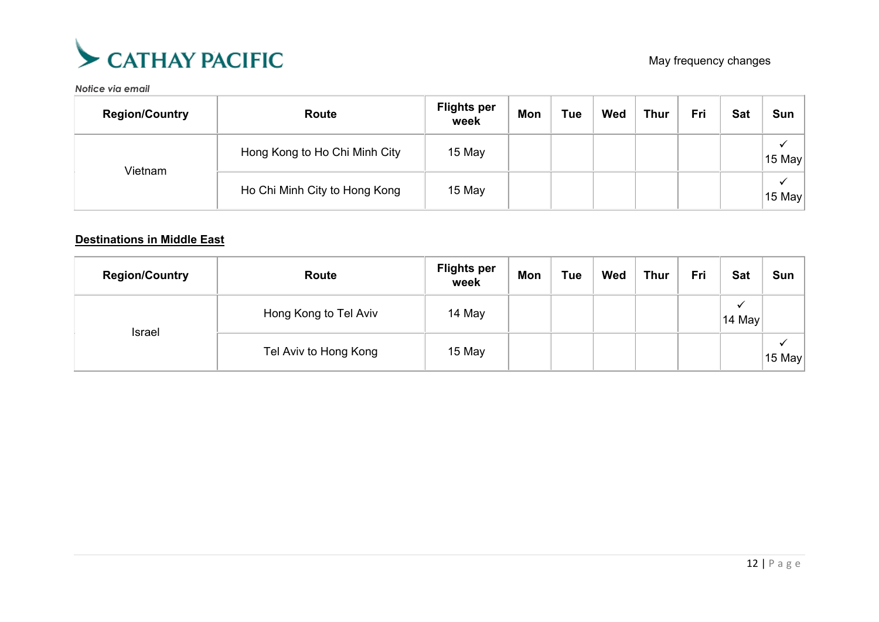

| <b>Region/Country</b> | Route                         | <b>Flights per</b><br>week | Mon | Tue | Wed | <b>Thur</b> | Fri | <b>Sat</b> | <b>Sun</b>  |
|-----------------------|-------------------------------|----------------------------|-----|-----|-----|-------------|-----|------------|-------------|
| Vietnam               | Hong Kong to Ho Chi Minh City | 15 May                     |     |     |     |             |     |            | 15 May      |
|                       | Ho Chi Minh City to Hong Kong | 15 May                     |     |     |     |             |     |            | v<br>15 May |

## **Destinations in Middle East**

| <b>Region/Country</b> | <b>Route</b>          | <b>Flights per</b><br>week | <b>Mon</b> | <b>Tue</b> | Wed | <b>Thur</b> | Fri | <b>Sat</b>  | Sun         |
|-----------------------|-----------------------|----------------------------|------------|------------|-----|-------------|-----|-------------|-------------|
| <b>Israel</b>         | Hong Kong to Tel Aviv | 14 May                     |            |            |     |             |     | ✓<br>14 May |             |
|                       | Tel Aviv to Hong Kong | 15 May                     |            |            |     |             |     |             | ✔<br>15 May |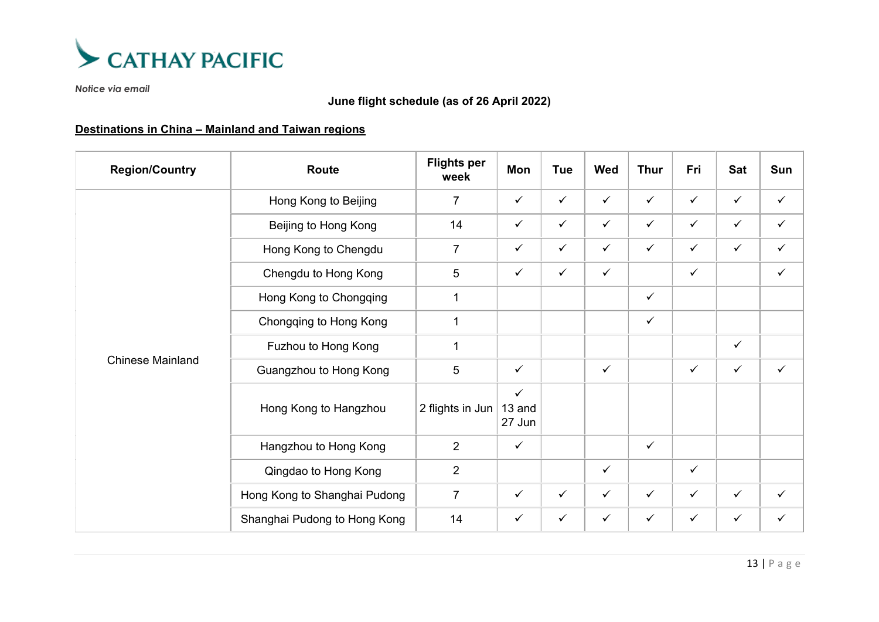

## **June flight schedule (as of 26 April 2022)**

## **Destinations in China – Mainland and Taiwan regions**

| <b>Region/Country</b>   | Route                        | <b>Flights per</b><br>week | Mon                              | Tue          | <b>Wed</b>   | <b>Thur</b>  | Fri          | Sat          | Sun          |
|-------------------------|------------------------------|----------------------------|----------------------------------|--------------|--------------|--------------|--------------|--------------|--------------|
|                         | Hong Kong to Beijing         | $\overline{7}$             | $\checkmark$                     | $\checkmark$ | $\checkmark$ | $\checkmark$ | $\checkmark$ | $\checkmark$ | $\checkmark$ |
|                         | Beijing to Hong Kong         | 14                         | $\checkmark$                     | $\checkmark$ | $\checkmark$ | $\checkmark$ | $\checkmark$ | $\checkmark$ | $\checkmark$ |
|                         | Hong Kong to Chengdu         | $\overline{7}$             | $\checkmark$                     | $\checkmark$ | $\checkmark$ | $\checkmark$ | $\checkmark$ | $\checkmark$ | $\checkmark$ |
|                         | Chengdu to Hong Kong         | 5                          | $\checkmark$                     | $\checkmark$ | $\checkmark$ |              | $\checkmark$ |              | $\checkmark$ |
|                         | Hong Kong to Chongqing       | $\mathbf{1}$               |                                  |              |              | $\checkmark$ |              |              |              |
|                         | Chongqing to Hong Kong       | 1                          |                                  |              |              | $\checkmark$ |              |              |              |
|                         | Fuzhou to Hong Kong          | 1                          |                                  |              |              |              |              | $\checkmark$ |              |
| <b>Chinese Mainland</b> | Guangzhou to Hong Kong       | $5\phantom{.0}$            | $\checkmark$                     |              | $\checkmark$ |              | $\checkmark$ | $\checkmark$ | $\checkmark$ |
|                         | Hong Kong to Hangzhou        | 2 flights in Jun           | $\checkmark$<br>13 and<br>27 Jun |              |              |              |              |              |              |
|                         | Hangzhou to Hong Kong        | $\overline{2}$             | $\checkmark$                     |              |              | $\checkmark$ |              |              |              |
|                         | Qingdao to Hong Kong         | 2                          |                                  |              | $\checkmark$ |              | $\checkmark$ |              |              |
|                         | Hong Kong to Shanghai Pudong | $\overline{7}$             | $\checkmark$                     | $\checkmark$ | $\checkmark$ | $\checkmark$ | $\checkmark$ | $\checkmark$ | $\checkmark$ |
|                         | Shanghai Pudong to Hong Kong | 14                         | $\checkmark$                     | $\checkmark$ | $\checkmark$ | $\checkmark$ | $\checkmark$ | $\checkmark$ | $\checkmark$ |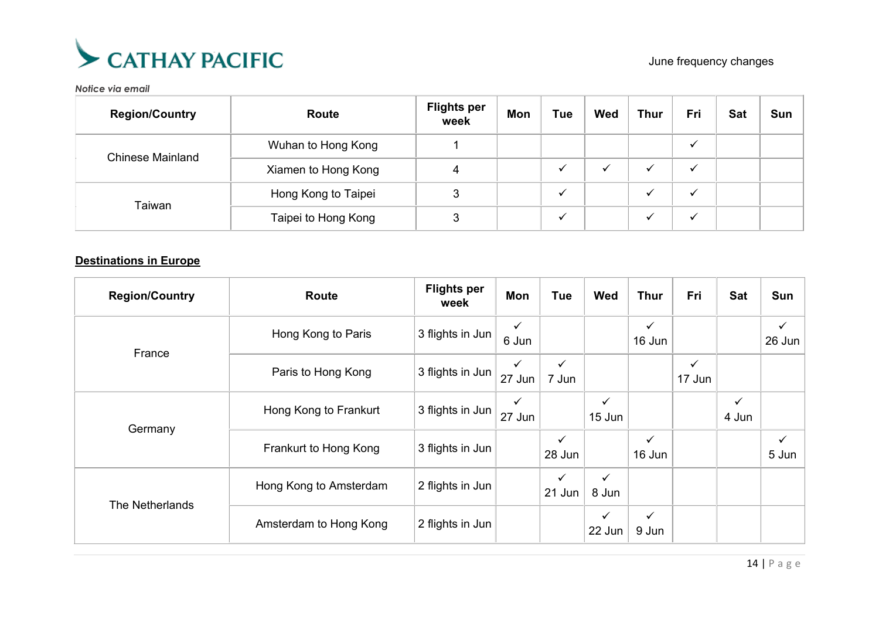

| <b>Region/Country</b>   | Route               | <b>Flights per</b><br>week | <b>Mon</b> | Tue | <b>Wed</b>   | <b>Thur</b> | Fri | <b>Sat</b> | Sun |
|-------------------------|---------------------|----------------------------|------------|-----|--------------|-------------|-----|------------|-----|
|                         | Wuhan to Hong Kong  |                            |            |     |              |             |     |            |     |
| <b>Chinese Mainland</b> | Xiamen to Hong Kong |                            |            |     | $\checkmark$ |             |     |            |     |
| Taiwan                  | Hong Kong to Taipei |                            |            |     |              |             |     |            |     |
|                         | Taipei to Hong Kong | ≏                          |            |     |              |             |     |            |     |

### **Destinations in Europe**

| <b>Region/Country</b> | Route                  | <b>Flights per</b><br>week | Mon                    | <b>Tue</b>             | Wed                    | <b>Thur</b>            | Fri                    | Sat        | Sun                    |
|-----------------------|------------------------|----------------------------|------------------------|------------------------|------------------------|------------------------|------------------------|------------|------------------------|
| France                | Hong Kong to Paris     | 3 flights in Jun           | $\checkmark$<br>6 Jun  |                        |                        | $\checkmark$<br>16 Jun |                        |            | $\checkmark$<br>26 Jun |
|                       | Paris to Hong Kong     | 3 flights in Jun           | $\checkmark$<br>27 Jun | $\checkmark$<br>7 Jun  |                        |                        | $\checkmark$<br>17 Jun |            |                        |
| Germany               | Hong Kong to Frankurt  | 3 flights in Jun           | $\checkmark$<br>27 Jun |                        | $\checkmark$<br>15 Jun |                        |                        | ✓<br>4 Jun |                        |
|                       | Frankurt to Hong Kong  | 3 flights in Jun           |                        | $\checkmark$<br>28 Jun |                        | $\checkmark$<br>16 Jun |                        |            | 5 Jun                  |
| The Netherlands       | Hong Kong to Amsterdam | 2 flights in Jun           |                        | $\checkmark$<br>21 Jun | $\checkmark$<br>8 Jun  |                        |                        |            |                        |
|                       | Amsterdam to Hong Kong | 2 flights in Jun           |                        |                        | $\checkmark$<br>22 Jun | $\checkmark$<br>9 Jun  |                        |            |                        |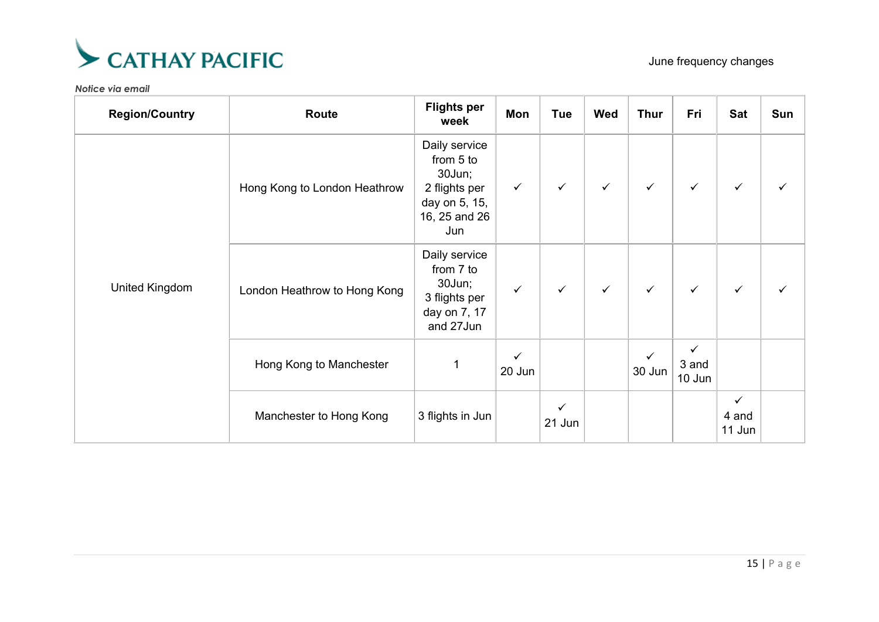

| <b>Region/Country</b> | Route                        | <b>Flights per</b><br>week                                                                     | Mon                    | Tue          | Wed          | <b>Thur</b>  | Fri                  | Sat                             | Sun          |
|-----------------------|------------------------------|------------------------------------------------------------------------------------------------|------------------------|--------------|--------------|--------------|----------------------|---------------------------------|--------------|
|                       | Hong Kong to London Heathrow | Daily service<br>from 5 to<br>30Jun;<br>2 flights per<br>day on 5, 15,<br>16, 25 and 26<br>Jun | $\checkmark$           | $\checkmark$ | $\checkmark$ | $\checkmark$ | $\checkmark$         | $\checkmark$                    | $\checkmark$ |
| <b>United Kingdom</b> | London Heathrow to Hong Kong | Daily service<br>from 7 to<br>30Jun;<br>3 flights per<br>day on 7, 17<br>and 27Jun             | $\checkmark$           | $\checkmark$ | $\checkmark$ | $\checkmark$ | $\checkmark$         | $\checkmark$                    | $\checkmark$ |
|                       | Hong Kong to Manchester      | 1                                                                                              | $\checkmark$<br>20 Jun |              |              | 30 Jun       | ✓<br>3 and<br>10 Jun |                                 |              |
|                       | Manchester to Hong Kong      | 3 flights in Jun                                                                               |                        | ✓<br>21 Jun  |              |              |                      | $\checkmark$<br>4 and<br>11 Jun |              |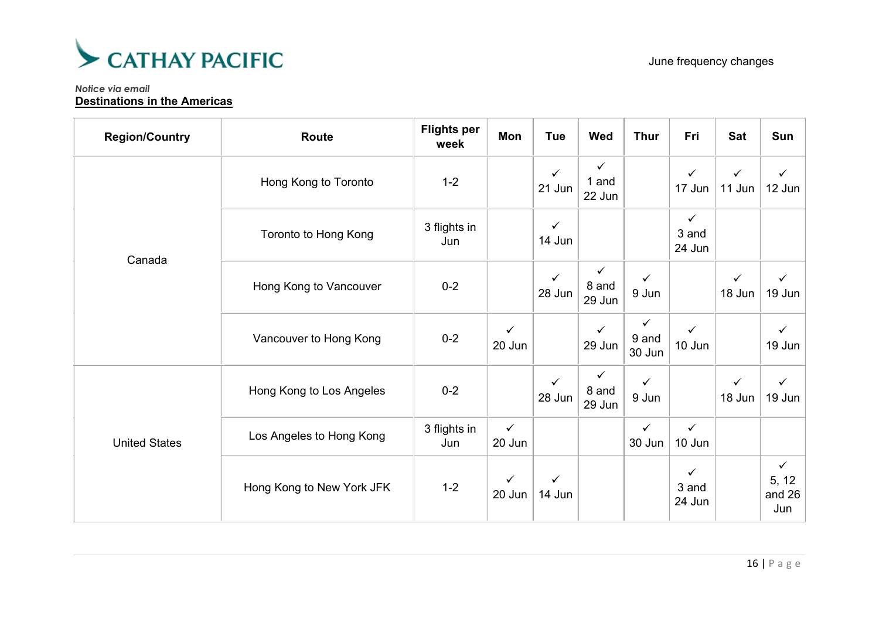

#### *Notice via email* **Destinations in the Americas**

| <b>Region/Country</b> | <b>Route</b>              | <b>Flights per</b><br>week | Mon                    | <b>Tue</b>             | Wed                             | <b>Thur</b>            | Fri                             | <b>Sat</b>             | Sun                                    |
|-----------------------|---------------------------|----------------------------|------------------------|------------------------|---------------------------------|------------------------|---------------------------------|------------------------|----------------------------------------|
|                       | Hong Kong to Toronto      | $1 - 2$                    |                        | ✓<br>21 Jun            | $\checkmark$<br>1 and<br>22 Jun |                        | $\checkmark$<br>17 Jun          | $\checkmark$<br>11 Jun | ✓<br>$12$ Jun                          |
| Canada                | Toronto to Hong Kong      | 3 flights in<br>Jun        |                        | $\checkmark$<br>14 Jun |                                 |                        | $\checkmark$<br>3 and<br>24 Jun |                        |                                        |
|                       | Hong Kong to Vancouver    | $0 - 2$                    |                        | $\checkmark$<br>28 Jun | ✓<br>8 and<br>29 Jun            | ✓<br>9 Jun             |                                 | $\checkmark$<br>18 Jun | ✓<br>$19$ Jun                          |
|                       | Vancouver to Hong Kong    | $0 - 2$                    | $\checkmark$<br>20 Jun |                        | $\checkmark$<br>29 Jun          | ✓<br>9 and<br>30 Jun   | $\checkmark$<br>10 Jun          |                        | $\checkmark$<br>19 Jun $ $             |
|                       | Hong Kong to Los Angeles  | $0 - 2$                    |                        | $\checkmark$<br>28 Jun | $\checkmark$<br>8 and<br>29 Jun | $\checkmark$<br>9 Jun  |                                 | $\checkmark$<br>18 Jun | $\checkmark$<br>19 Jun                 |
| <b>United States</b>  | Los Angeles to Hong Kong  | 3 flights in<br>Jun        | $\checkmark$<br>20 Jun |                        |                                 | $\checkmark$<br>30 Jun | $\checkmark$<br>10 Jun          |                        |                                        |
|                       | Hong Kong to New York JFK | $1 - 2$                    | $\checkmark$<br>20 Jun | $\checkmark$<br>14 Jun |                                 |                        | $\checkmark$<br>3 and<br>24 Jun |                        | $\checkmark$<br>5, 12<br>and 26<br>Jun |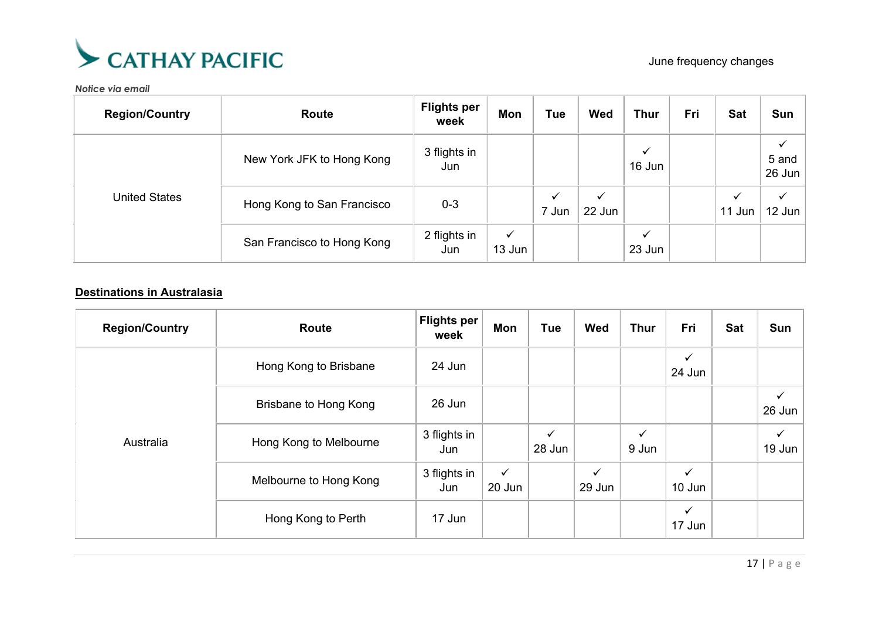

| <b>Region/Country</b> | Route                      | <b>Flights per</b><br>week | Mon                    | <b>Tue</b> | <b>Wed</b>  | <b>Thur</b>            | Fri | <b>Sat</b>             | Sun                    |
|-----------------------|----------------------------|----------------------------|------------------------|------------|-------------|------------------------|-----|------------------------|------------------------|
| <b>United States</b>  | New York JFK to Hong Kong  | 3 flights in<br>Jun        |                        |            |             | ✓<br>16 Jun            |     |                        | 5 and<br>26 Jun        |
|                       | Hong Kong to San Francisco | $0 - 3$                    |                        | 7 Jun      | ✓<br>22 Jun |                        |     | $\checkmark$<br>11 Jun | $\checkmark$<br>12 Jun |
|                       | San Francisco to Hong Kong | 2 flights in<br>Jun        | $\checkmark$<br>13 Jun |            |             | $\checkmark$<br>23 Jun |     |                        |                        |

## **Destinations in Australasia**

| <b>Region/Country</b> | Route                  | <b>Flights per</b><br>week | Mon                    | <b>Tue</b>             | Wed                    | <b>Thur</b>           | Fri                    | Sat | Sun                    |
|-----------------------|------------------------|----------------------------|------------------------|------------------------|------------------------|-----------------------|------------------------|-----|------------------------|
|                       | Hong Kong to Brisbane  | 24 Jun                     |                        |                        |                        |                       | $\checkmark$<br>24 Jun |     |                        |
|                       | Brisbane to Hong Kong  | 26 Jun                     |                        |                        |                        |                       |                        |     | $\checkmark$<br>26 Jun |
| Australia             | Hong Kong to Melbourne | 3 flights in<br>Jun        |                        | $\checkmark$<br>28 Jun |                        | $\checkmark$<br>9 Jun |                        |     | $\checkmark$<br>19 Jun |
|                       | Melbourne to Hong Kong | 3 flights in<br>Jun        | $\checkmark$<br>20 Jun |                        | $\checkmark$<br>29 Jun |                       | $\checkmark$<br>10 Jun |     |                        |
|                       | Hong Kong to Perth     | 17 Jun                     |                        |                        |                        |                       | $\checkmark$<br>17 Jun |     |                        |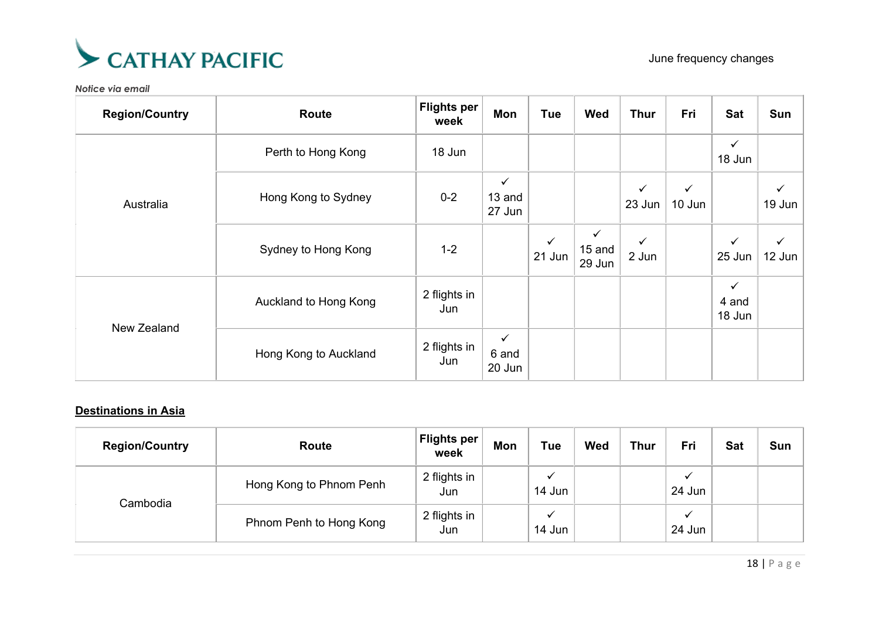

| <b>Region/Country</b> | <b>Route</b>          | <b>Flights per</b><br>week | Mon                              | <b>Tue</b>             | Wed                                | <b>Thur</b>            | Fri                    | <b>Sat</b>                      | Sun             |
|-----------------------|-----------------------|----------------------------|----------------------------------|------------------------|------------------------------------|------------------------|------------------------|---------------------------------|-----------------|
|                       | Perth to Hong Kong    | 18 Jun                     |                                  |                        |                                    |                        |                        | $\checkmark$<br>18 Jun          |                 |
| Australia             | Hong Kong to Sydney   | $0 - 2$                    | $\checkmark$<br>13 and<br>27 Jun |                        |                                    | $\checkmark$<br>23 Jun | $\checkmark$<br>10 Jun |                                 | ✓<br>19 Jun $ $ |
|                       | Sydney to Hong Kong   | $1 - 2$                    |                                  | $\checkmark$<br>21 Jun | $\checkmark$<br>$15$ and<br>29 Jun | $\checkmark$<br>2 Jun  |                        | $\checkmark$<br>25 Jun          | $12$ Jun        |
| New Zealand           | Auckland to Hong Kong | 2 flights in<br>Jun        |                                  |                        |                                    |                        |                        | $\checkmark$<br>4 and<br>18 Jun |                 |
|                       | Hong Kong to Auckland | 2 flights in<br>Jun        | $\checkmark$<br>6 and<br>20 Jun  |                        |                                    |                        |                        |                                 |                 |

## **Destinations in Asia**

| <b>Region/Country</b> | <b>Route</b>            | <b>Flights per</b><br>week | Mon | <b>Tue</b>                         | Wed | <b>Thur</b> | Fri                    | <b>Sat</b> | Sun |
|-----------------------|-------------------------|----------------------------|-----|------------------------------------|-----|-------------|------------------------|------------|-----|
|                       | Hong Kong to Phnom Penh | 2 flights in<br>Jun        |     | $\overline{\phantom{a}}$<br>14 Jun |     |             | 24 Jun                 |            |     |
| Cambodia              | Phnom Penh to Hong Kong | 2 flights in<br>Jun        |     | $\checkmark$<br>14 Jun             |     |             | $\checkmark$<br>24 Jun |            |     |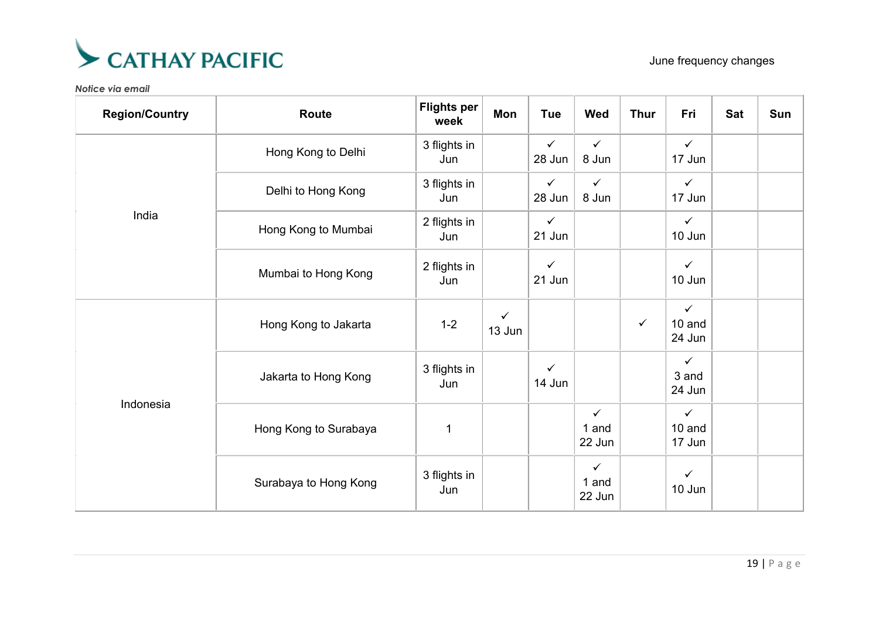

| <b>Region/Country</b> | <b>Route</b>          | <b>Flights per</b><br>week | Mon                    | Tue                    | <b>Wed</b>                      | <b>Thur</b>  | Fri                              | <b>Sat</b> | Sun |
|-----------------------|-----------------------|----------------------------|------------------------|------------------------|---------------------------------|--------------|----------------------------------|------------|-----|
|                       | Hong Kong to Delhi    | 3 flights in<br>Jun        |                        | $\checkmark$<br>28 Jun | $\checkmark$<br>8 Jun           |              | $\checkmark$<br>17 Jun           |            |     |
|                       | Delhi to Hong Kong    | 3 flights in<br>Jun        |                        | $\checkmark$<br>28 Jun | $\checkmark$<br>8 Jun           |              | $\checkmark$<br>17 Jun           |            |     |
| India                 | Hong Kong to Mumbai   | 2 flights in<br>Jun        |                        | $\checkmark$<br>21 Jun |                                 |              | $\checkmark$<br>10 Jun           |            |     |
|                       | Mumbai to Hong Kong   | 2 flights in<br>Jun        |                        | $\checkmark$<br>21 Jun |                                 |              | $\checkmark$<br>10 Jun           |            |     |
| Indonesia             | Hong Kong to Jakarta  | $1 - 2$                    | $\checkmark$<br>13 Jun |                        |                                 | $\checkmark$ | $\checkmark$<br>10 and<br>24 Jun |            |     |
|                       | Jakarta to Hong Kong  | 3 flights in<br>Jun        |                        | $\checkmark$<br>14 Jun |                                 |              | $\checkmark$<br>3 and<br>24 Jun  |            |     |
|                       | Hong Kong to Surabaya | $\mathbf 1$                |                        |                        | $\checkmark$<br>1 and<br>22 Jun |              | $\checkmark$<br>10 and<br>17 Jun |            |     |
|                       | Surabaya to Hong Kong | 3 flights in<br>Jun        |                        |                        | $\checkmark$<br>1 and<br>22 Jun |              | $\checkmark$<br>10 Jun           |            |     |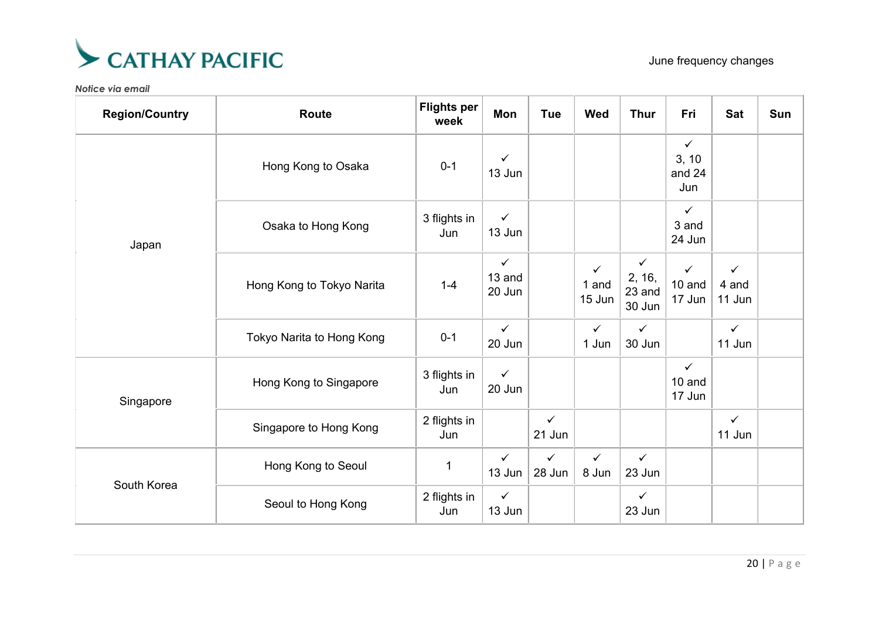

| <b>Region/Country</b> | <b>Route</b>              | <b>Flights per</b><br>week | Mon                              | <b>Tue</b>             | <b>Wed</b>            | <b>Thur</b>                                | Fri                                    | <b>Sat</b>                      | Sun |
|-----------------------|---------------------------|----------------------------|----------------------------------|------------------------|-----------------------|--------------------------------------------|----------------------------------------|---------------------------------|-----|
| Japan                 | Hong Kong to Osaka        | $0 - 1$                    | $\checkmark$<br>13 Jun           |                        |                       |                                            | $\checkmark$<br>3, 10<br>and 24<br>Jun |                                 |     |
|                       | Osaka to Hong Kong        | 3 flights in<br>Jun        | $\checkmark$<br>13 Jun           |                        |                       |                                            | $\checkmark$<br>3 and<br>24 Jun        |                                 |     |
|                       | Hong Kong to Tokyo Narita | $1 - 4$                    | $\checkmark$<br>13 and<br>20 Jun |                        | ✓<br>1 and<br>15 Jun  | $\checkmark$<br>2, 16,<br>23 and<br>30 Jun | $\checkmark$<br>10 and<br>17 Jun       | $\checkmark$<br>4 and<br>11 Jun |     |
|                       | Tokyo Narita to Hong Kong | $0 - 1$                    | $\checkmark$<br>20 Jun           |                        | $\checkmark$<br>1 Jun | $\checkmark$<br>30 Jun                     |                                        | $\checkmark$<br>11 Jun          |     |
| Singapore             | Hong Kong to Singapore    | 3 flights in<br>Jun        | $\checkmark$<br>20 Jun           |                        |                       |                                            | $\checkmark$<br>10 and<br>17 Jun       |                                 |     |
|                       | Singapore to Hong Kong    | 2 flights in<br>Jun        |                                  | $\checkmark$<br>21 Jun |                       |                                            |                                        | $\checkmark$<br>11 Jun          |     |
| South Korea           | Hong Kong to Seoul        | $\mathbf 1$                | $\checkmark$<br>13 Jun           | $\checkmark$<br>28 Jun | $\checkmark$<br>8 Jun | $\checkmark$<br>23 Jun                     |                                        |                                 |     |
|                       | Seoul to Hong Kong        | 2 flights in<br>Jun        | $\checkmark$<br>13 Jun           |                        |                       | $\checkmark$<br>23 Jun                     |                                        |                                 |     |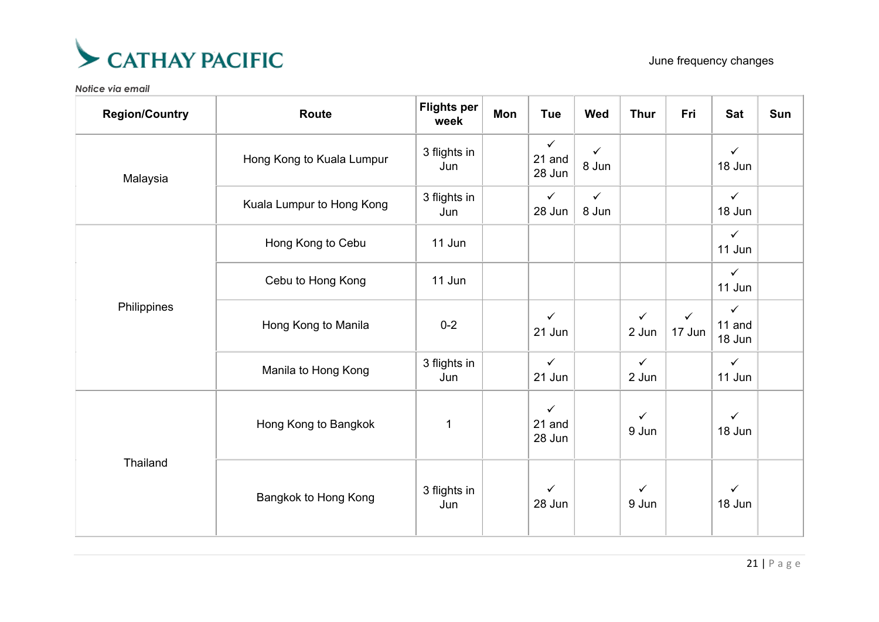

| <b>Region/Country</b> | <b>Route</b>              | <b>Flights per</b><br>week | Mon | Tue                              | <b>Wed</b>            | <b>Thur</b>           | Fri                    | <b>Sat</b>                       | Sun |
|-----------------------|---------------------------|----------------------------|-----|----------------------------------|-----------------------|-----------------------|------------------------|----------------------------------|-----|
| Malaysia              | Hong Kong to Kuala Lumpur | 3 flights in<br>Jun        |     | $\checkmark$<br>21 and<br>28 Jun | $\checkmark$<br>8 Jun |                       |                        | $\checkmark$<br>18 Jun           |     |
|                       | Kuala Lumpur to Hong Kong | 3 flights in<br>Jun        |     | $\checkmark$<br>28 Jun           | $\checkmark$<br>8 Jun |                       |                        | $\checkmark$<br>18 Jun           |     |
| Philippines           | Hong Kong to Cebu         | 11 Jun                     |     |                                  |                       |                       |                        | $\checkmark$<br>11 Jun           |     |
|                       | Cebu to Hong Kong         | 11 Jun                     |     |                                  |                       |                       |                        | $\checkmark$<br>11 Jun           |     |
|                       | Hong Kong to Manila       | $0 - 2$                    |     | $\checkmark$<br>21 Jun           |                       | $\checkmark$<br>2 Jun | $\checkmark$<br>17 Jun | $\checkmark$<br>11 and<br>18 Jun |     |
|                       | Manila to Hong Kong       | 3 flights in<br>Jun        |     | $\checkmark$<br>21 Jun           |                       | $\checkmark$<br>2 Jun |                        | $\checkmark$<br>11 Jun           |     |
| Thailand              | Hong Kong to Bangkok      | 1                          |     | $\checkmark$<br>21 and<br>28 Jun |                       | $\checkmark$<br>9 Jun |                        | $\checkmark$<br>18 Jun           |     |
|                       | Bangkok to Hong Kong      | 3 flights in<br>Jun        |     | $\checkmark$<br>28 Jun           |                       | $\checkmark$<br>9 Jun |                        | $\checkmark$<br>18 Jun           |     |